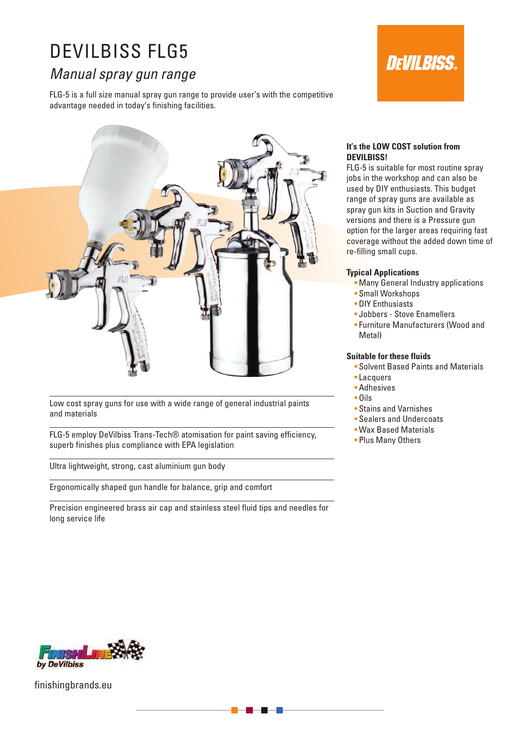# DEVILBISS FLG5

# *Manual spray gun range*

FLG-5 is a full size manual spray gun range to provide user's with the competitive advantage needed in today's finishing facilities.





Low cost spray guns for use with a wide range of general industrial paints and materials

FLG-5 employ DeVilbiss Trans-Tech® atomisation for paint saving efficiency, superb finishes plus compliance with EPA legislation

Ultra lightweight, strong, cast aluminium gun body

Ergonomically shaped gun handle for balance, grip and comfort

Precision engineered brass air cap and stainless steel fluid tips and needles for long service life

### **It's the LOW COST solution from DEVILBISS!**

FLG-5 is suitable for most routine spray jobs in the workshop and can also be used by DIY enthusiasts. This budget range of spray guns are available as spray gun kits in Suction and Gravity versions and there is a Pressure gun option for the larger areas requiring fast coverage without the added down time of re-filling small cups.

# **Typical Applications**

- **Many General Industry applications**
- Small Workshops
- **DIY Enthusiasts**
- Jobbers Stove Enamellers
- Furniture Manufacturers (Wood and Metal)

#### **Suitable for these fluids**

- Solvent Based Paints and Materials
- Lacquers
- Adhesives
- Oils
- Stains and Varnishes
- Sealers and Undercoats
- Wax Based Materials
- **Plus Many Others**



finishingbrands.eu